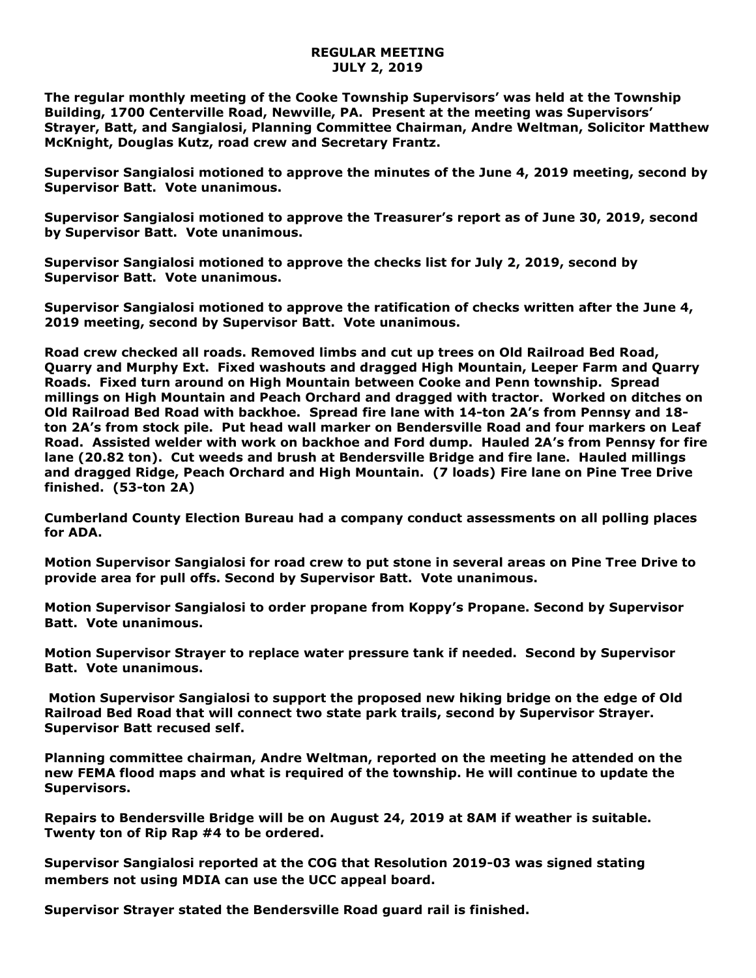## **REGULAR MEETING JULY 2, 2019**

**The regular monthly meeting of the Cooke Township Supervisors' was held at the Township Building, 1700 Centerville Road, Newville, PA. Present at the meeting was Supervisors' Strayer, Batt, and Sangialosi, Planning Committee Chairman, Andre Weltman, Solicitor Matthew McKnight, Douglas Kutz, road crew and Secretary Frantz.** 

**Supervisor Sangialosi motioned to approve the minutes of the June 4, 2019 meeting, second by Supervisor Batt. Vote unanimous.** 

**Supervisor Sangialosi motioned to approve the Treasurer's report as of June 30, 2019, second by Supervisor Batt. Vote unanimous.**

**Supervisor Sangialosi motioned to approve the checks list for July 2, 2019, second by Supervisor Batt. Vote unanimous.**

**Supervisor Sangialosi motioned to approve the ratification of checks written after the June 4, 2019 meeting, second by Supervisor Batt. Vote unanimous.**

**Road crew checked all roads. Removed limbs and cut up trees on Old Railroad Bed Road, Quarry and Murphy Ext. Fixed washouts and dragged High Mountain, Leeper Farm and Quarry Roads. Fixed turn around on High Mountain between Cooke and Penn township. Spread millings on High Mountain and Peach Orchard and dragged with tractor. Worked on ditches on Old Railroad Bed Road with backhoe. Spread fire lane with 14-ton 2A's from Pennsy and 18 ton 2A's from stock pile. Put head wall marker on Bendersville Road and four markers on Leaf Road. Assisted welder with work on backhoe and Ford dump. Hauled 2A's from Pennsy for fire lane (20.82 ton). Cut weeds and brush at Bendersville Bridge and fire lane. Hauled millings and dragged Ridge, Peach Orchard and High Mountain. (7 loads) Fire lane on Pine Tree Drive finished. (53-ton 2A)**

**Cumberland County Election Bureau had a company conduct assessments on all polling places for ADA.**

**Motion Supervisor Sangialosi for road crew to put stone in several areas on Pine Tree Drive to provide area for pull offs. Second by Supervisor Batt. Vote unanimous.**

**Motion Supervisor Sangialosi to order propane from Koppy's Propane. Second by Supervisor Batt. Vote unanimous.**

**Motion Supervisor Strayer to replace water pressure tank if needed. Second by Supervisor Batt. Vote unanimous.**

**Motion Supervisor Sangialosi to support the proposed new hiking bridge on the edge of Old Railroad Bed Road that will connect two state park trails, second by Supervisor Strayer. Supervisor Batt recused self.**

**Planning committee chairman, Andre Weltman, reported on the meeting he attended on the new FEMA flood maps and what is required of the township. He will continue to update the Supervisors.**

**Repairs to Bendersville Bridge will be on August 24, 2019 at 8AM if weather is suitable. Twenty ton of Rip Rap #4 to be ordered.**

**Supervisor Sangialosi reported at the COG that Resolution 2019-03 was signed stating members not using MDIA can use the UCC appeal board.**

**Supervisor Strayer stated the Bendersville Road guard rail is finished.**